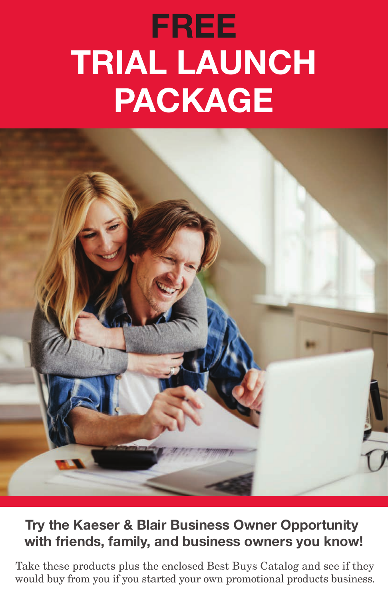# **FREE TRIAL LAUNCH PACKAGE**



#### **Try the Kaeser & Blair Business Owner Opportunity with friends, family, and business owners you know!**

Take these products plus the enclosed Best Buys Catalog and see if they would buy from you if you started your own promotional products business.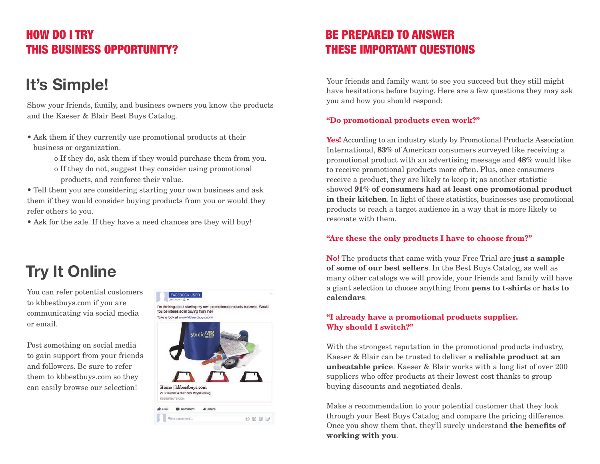#### HOW DO I TRY THIS BUSINESS OPPORTUNITY?

### **It's Simple!**

Show your friends, family, and business owners you know the products and the Kaeser & Blair Best Buys Catalog.

- Ask them if they currently use promotional products at their business or organization.
	- o If they do, ask them if they would purchase them from you.
	- o If they do not, suggest they consider using promotional products, and reinforce their value.

• Tell them you are considering starting your own business and ask them if they would consider buying products from you or would they refer others to you.

• Ask for the sale. If they have a need chances are they will buy!

## **Try It Online**

You can refer potential customers to kbbestbuys.com if you are communicating via social media or email.

Post something on social media to gain support from your friends and followers. Be sure to refer them to kbbestbuys.com so they can easily browse our selection!



#### BE PREPARED TO ANSWER THESE IMPORTANT QUESTIONS

Your friends and family want to see you succeed but they still might have hesitations before buying. Here are a few questions they may ask you and how you should respond:

#### "Do promotional products even work?"

Yes! According to an industry study by Promotional Products Association International, 83% of American consumers surveyed like receiving a promotional product with an advertising message and 48% would like to receive promotional products more often. Plus, once consumers receive a product, they are likely to keep it; as another statistic showed 91% of consumers had at least one promotional product in their kitchen. In light of these statistics, businesses use promotional products to reach a target audience in a way that is more likely to resonate with them.

#### "Are these the only products I have to choose from?"

No! The products that came with your Free Trial are just a sample of some of our best sellers. In the Best Buys Catalog, as well as many other catalogs we will provide, your friends and family will have a giant selection to choose anything from pens to t-shirts or hats to calendars.

#### "I already have a promotional products supplier. Why should I switch?"

With the strongest reputation in the promotional products industry, Kaeser & Blair can be trusted to deliver a reliable product at an unbeatable price. Kaeser & Blair works with a long list of over 200 suppliers who offer products at their lowest cost thanks to group buying discounts and negotiated deals.

Make a recommendation to your potential customer that they look through your Best Buys Catalog and compare the pricing difference. Once you show them that, they'll surely understand the benefits of working with you.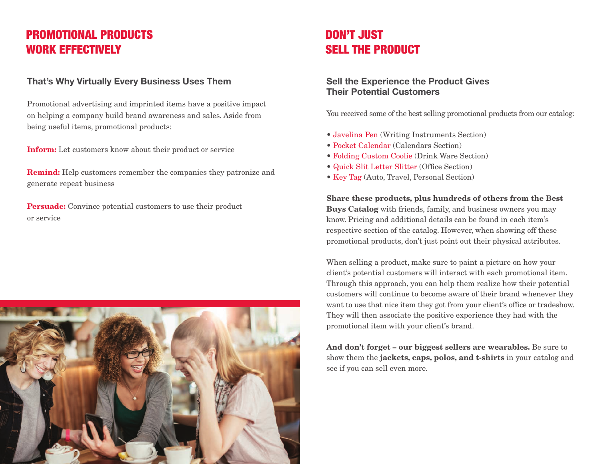#### PROMOTIONAL PRODUCTS WORK EFFECTIVELY

#### **That's Why Virtually Every Business Uses Them**

Promotional advertising and imprinted items have a positive impact on helping a company build brand awareness and sales. Aside from being useful items, promotional products:

Inform: Let customers know about their product or service

Remind: Help customers remember the companies they patronize and generate repeat business

Persuade: Convince potential customers to use their product or service



#### DON'T JUST SELL THE PRODUCT

#### **Sell the Experience the Product Gives Their Potential Customers**

You received some of the best selling promotional products from our catalog:

- Javelina Pen (Writing Instruments Section)
- Pocket Calendar (Calendars Section)
- Folding Custom Coolie (Drink Ware Section)
- Quick Slit Letter Slitter (Office Section)
- Key Tag (Auto, Travel, Personal Section)

Share these products, plus hundreds of others from the Best Buys Catalog with friends, family, and business owners you may know. Pricing and additional details can be found in each item's respective section of the catalog. However, when showing off these promotional products, don't just point out their physical attributes.

When selling a product, make sure to paint a picture on how your client's potential customers will interact with each promotional item. Through this approach, you can help them realize how their potential customers will continue to become aware of their brand whenever they want to use that nice item they got from your client's office or tradeshow. They will then associate the positive experience they had with the promotional item with your client's brand.

And don't forget – our biggest sellers are wearables. Be sure to show them the jackets, caps, polos, and t-shirts in your catalog and see if you can sell even more.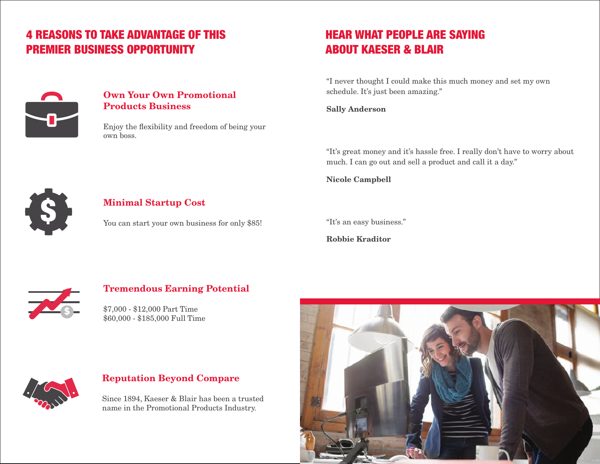#### 4 REASONS TO TAKE ADVANTAGE OF THIS PREMIER BUSINESS OPPORTUNITY

#### Own Your Own Promotional Products Business

Enjoy the flexibility and freedom of being your own boss.

### HEAR WHAT PEOPLE ARE SAYING ABOUT KAESER & BLAIR

"I never thought I could make this much money and set my own schedule. It's just been amazing."

Sally Anderson

"It's great money and it's hassle free. I really don't have to worry about much. I can go out and sell a product and call it a day."

Nicole Campbell



#### Minimal Startup Cost

You can start your own business for only \$85!

"It's an easy business."

Robbie Kraditor



#### Tremendous Earning Potential

\$7,000 - \$12,000 Part Time \$60,000 - \$185,000 Full Time



#### Reputation Beyond Compare

Since 1894, Kaeser & Blair has been a trusted name in the Promotional Products Industry.